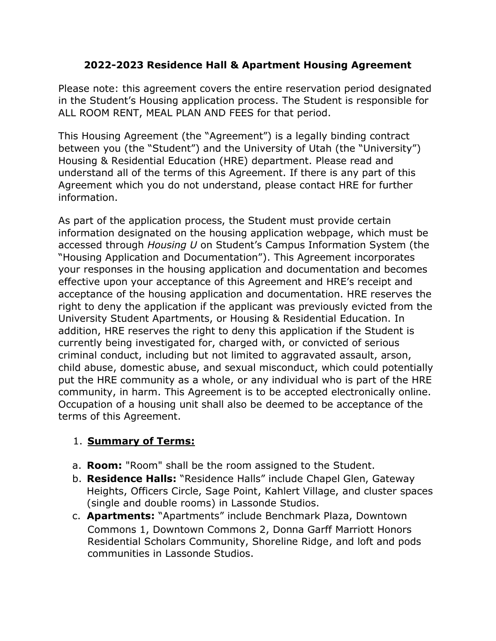## **2022-2023 Residence Hall & Apartment Housing Agreement**

Please note: this agreement covers the entire reservation period designated in the Student's Housing application process. The Student is responsible for ALL ROOM RENT, MEAL PLAN AND FEES for that period.

This Housing Agreement (the "Agreement") is a legally binding contract between you (the "Student") and the University of Utah (the "University") Housing & Residential Education (HRE) department. Please read and understand all of the terms of this Agreement. If there is any part of this Agreement which you do not understand, please contact HRE for further information.

As part of the application process, the Student must provide certain information designated on the housing application webpage, which must be accessed through *Housing U* on Student's Campus Information System (the "Housing Application and Documentation"). This Agreement incorporates your responses in the housing application and documentation and becomes effective upon your acceptance of this Agreement and HRE's receipt and acceptance of the housing application and documentation. HRE reserves the right to deny the application if the applicant was previously evicted from the University Student Apartments, or Housing & Residential Education. In addition, HRE reserves the right to deny this application if the Student is currently being investigated for, charged with, or convicted of serious criminal conduct, including but not limited to aggravated assault, arson, child abuse, domestic abuse, and sexual misconduct, which could potentially put the HRE community as a whole, or any individual who is part of the HRE community, in harm. This Agreement is to be accepted electronically online. Occupation of a housing unit shall also be deemed to be acceptance of the terms of this Agreement.

## 1. **Summary of Terms:**

- a. **Room:** "Room" shall be the room assigned to the Student.
- b. **Residence Halls:** "Residence Halls" include Chapel Glen, Gateway Heights, Officers Circle, Sage Point, Kahlert Village, and cluster spaces (single and double rooms) in Lassonde Studios.
- c. **Apartments:** "Apartments" include Benchmark Plaza, Downtown Commons 1, Downtown Commons 2, Donna Garff Marriott Honors Residential Scholars Community, Shoreline Ridge, and loft and pods communities in Lassonde Studios.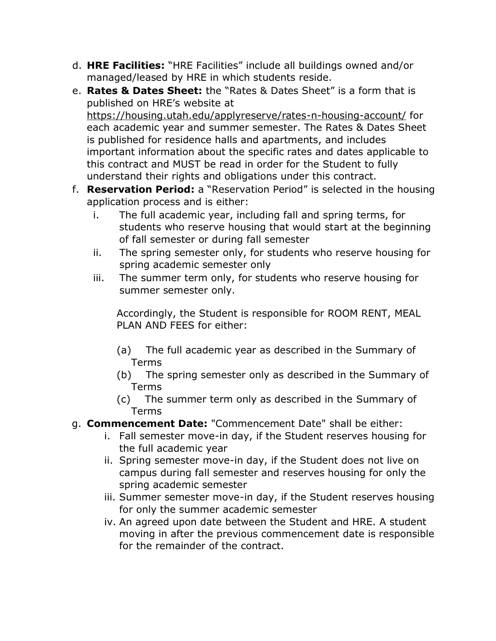- d. **HRE Facilities:** "HRE Facilities" include all buildings owned and/or managed/leased by HRE in which students reside.
- e. **Rates & Dates Sheet:** the "Rates & Dates Sheet" is a form that is published on HRE's website at https://housing.utah.edu/applyreserve/rates-n-housing-account/ for each academic year and summer semester. The Rates & Dates Sheet is published for residence halls and apartments, and includes important information about the specific rates and dates applicable to this contract and MUST be read in order for the Student to fully understand their rights and obligations under this contract.
- f. **Reservation Period:** a "Reservation Period" is selected in the housing application process and is either:
	- i. The full academic year, including fall and spring terms, for students who reserve housing that would start at the beginning of fall semester or during fall semester
	- ii. The spring semester only, for students who reserve housing for spring academic semester only
	- iii. The summer term only, for students who reserve housing for summer semester only.

Accordingly, the Student is responsible for ROOM RENT, MEAL PLAN AND FEES for either:

- (a) The full academic year as described in the Summary of Terms
- (b) The spring semester only as described in the Summary of Terms
- (c) The summer term only as described in the Summary of Terms
- g. **Commencement Date:** "Commencement Date" shall be either:
	- i. Fall semester move-in day, if the Student reserves housing for the full academic year
	- ii. Spring semester move-in day, if the Student does not live on campus during fall semester and reserves housing for only the spring academic semester
	- iii. Summer semester move-in day, if the Student reserves housing for only the summer academic semester
	- iv. An agreed upon date between the Student and HRE. A student moving in after the previous commencement date is responsible for the remainder of the contract.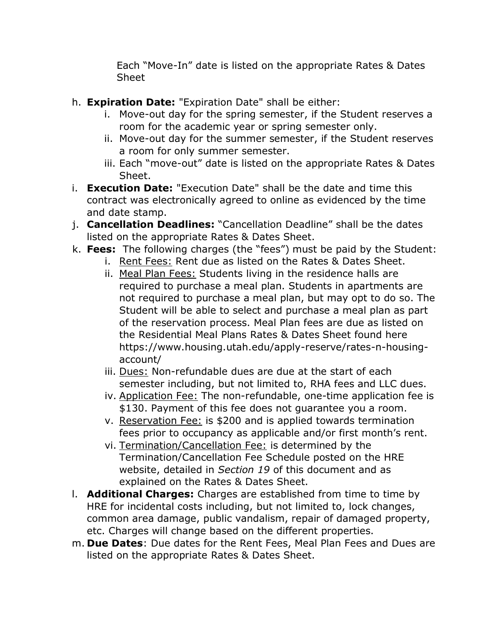Each "Move-In" date is listed on the appropriate Rates & Dates Sheet

- h. **Expiration Date:** "Expiration Date" shall be either:
	- i. Move-out day for the spring semester, if the Student reserves a room for the academic year or spring semester only.
	- ii. Move-out day for the summer semester, if the Student reserves a room for only summer semester.
	- iii. Each "move-out" date is listed on the appropriate Rates & Dates Sheet.
- i. **Execution Date:** "Execution Date" shall be the date and time this contract was electronically agreed to online as evidenced by the time and date stamp.
- j. **Cancellation Deadlines:** "Cancellation Deadline" shall be the dates listed on the appropriate Rates & Dates Sheet.
- k. **Fees:** The following charges (the "fees") must be paid by the Student:
	- i. Rent Fees: Rent due as listed on the Rates & Dates Sheet.
	- ii. Meal Plan Fees: Students living in the residence halls are required to purchase a meal plan. Students in apartments are not required to purchase a meal plan, but may opt to do so. The Student will be able to select and purchase a meal plan as part of the reservation process. Meal Plan fees are due as listed on the Residential Meal Plans Rates & Dates Sheet found here https://www.housing.utah.edu/apply-reserve/rates-n-housingaccount/
	- iii. Dues: Non-refundable dues are due at the start of each semester including, but not limited to, RHA fees and LLC dues.
	- iv. Application Fee: The non-refundable, one-time application fee is \$130. Payment of this fee does not guarantee you a room.
	- v. Reservation Fee: is \$200 and is applied towards termination fees prior to occupancy as applicable and/or first month's rent.
	- vi. Termination/Cancellation Fee: is determined by the Termination/Cancellation Fee Schedule posted on the HRE website, detailed in *Section 19* of this document and as explained on the Rates & Dates Sheet.
- l. **Additional Charges:** Charges are established from time to time by HRE for incidental costs including, but not limited to, lock changes, common area damage, public vandalism, repair of damaged property, etc. Charges will change based on the different properties.
- m. **Due Dates**: Due dates for the Rent Fees, Meal Plan Fees and Dues are listed on the appropriate Rates & Dates Sheet.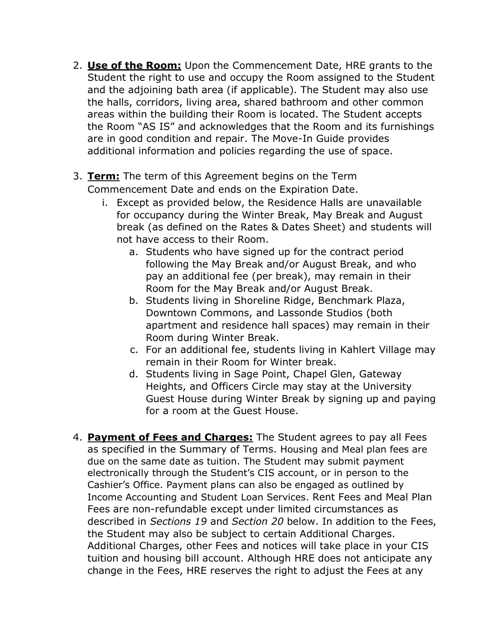- 2. **Use of the Room:** Upon the Commencement Date, HRE grants to the Student the right to use and occupy the Room assigned to the Student and the adjoining bath area (if applicable). The Student may also use the halls, corridors, living area, shared bathroom and other common areas within the building their Room is located. The Student accepts the Room "AS IS" and acknowledges that the Room and its furnishings are in good condition and repair. The Move-In Guide provides additional information and policies regarding the use of space.
- 3. **Term:** The term of this Agreement begins on the Term Commencement Date and ends on the Expiration Date.
	- i. Except as provided below, the Residence Halls are unavailable for occupancy during the Winter Break, May Break and August break (as defined on the Rates & Dates Sheet) and students will not have access to their Room.
		- a. Students who have signed up for the contract period following the May Break and/or August Break, and who pay an additional fee (per break), may remain in their Room for the May Break and/or August Break.
		- b. Students living in Shoreline Ridge, Benchmark Plaza, Downtown Commons, and Lassonde Studios (both apartment and residence hall spaces) may remain in their Room during Winter Break.
		- c. For an additional fee, students living in Kahlert Village may remain in their Room for Winter break.
		- d. Students living in Sage Point, Chapel Glen, Gateway Heights, and Officers Circle may stay at the University Guest House during Winter Break by signing up and paying for a room at the Guest House.
- 4. **Payment of Fees and Charges:** The Student agrees to pay all Fees as specified in the Summary of Terms. Housing and Meal plan fees are due on the same date as tuition. The Student may submit payment electronically through the Student's CIS account, or in person to the Cashier's Office. Payment plans can also be engaged as outlined by Income Accounting and Student Loan Services. Rent Fees and Meal Plan Fees are non-refundable except under limited circumstances as described in *Sections 19* and *Section 20* below. In addition to the Fees, the Student may also be subject to certain Additional Charges. Additional Charges, other Fees and notices will take place in your CIS tuition and housing bill account. Although HRE does not anticipate any change in the Fees, HRE reserves the right to adjust the Fees at any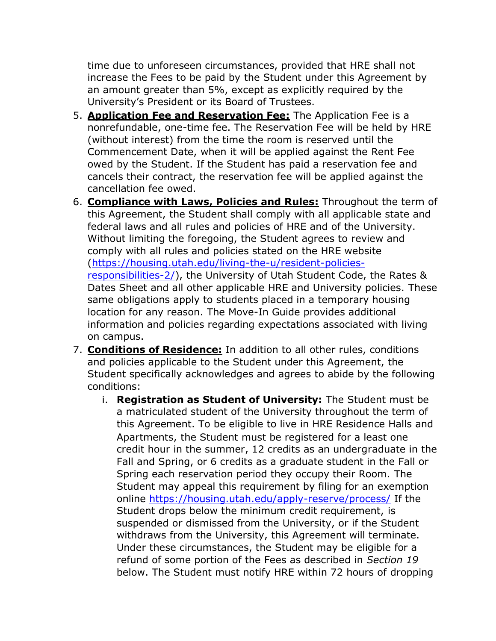time due to unforeseen circumstances, provided that HRE shall not increase the Fees to be paid by the Student under this Agreement by an amount greater than 5%, except as explicitly required by the University's President or its Board of Trustees.

- 5. **Application Fee and Reservation Fee:** The Application Fee is a nonrefundable, one-time fee. The Reservation Fee will be held by HRE (without interest) from the time the room is reserved until the Commencement Date, when it will be applied against the Rent Fee owed by the Student. If the Student has paid a reservation fee and cancels their contract, the reservation fee will be applied against the cancellation fee owed.
- 6. **Compliance with Laws, Policies and Rules:** Throughout the term of this Agreement, the Student shall comply with all applicable state and federal laws and all rules and policies of HRE and of the University. Without limiting the foregoing, the Student agrees to review and comply with all rules and policies stated on the HRE website [\(https://housing.utah.edu/living-the-u/resident-policies](https://housing.utah.edu/living-the-u/resident-policies-responsibilities-2/)[responsibilities-2/\)](https://housing.utah.edu/living-the-u/resident-policies-responsibilities-2/), the University of Utah Student Code, the Rates & Dates Sheet and all other applicable HRE and University policies. These same obligations apply to students placed in a temporary housing location for any reason. The Move-In Guide provides additional information and policies regarding expectations associated with living on campus.
- 7. **Conditions of Residence:** In addition to all other rules, conditions and policies applicable to the Student under this Agreement, the Student specifically acknowledges and agrees to abide by the following conditions:
	- i. **Registration as Student of University:** The Student must be a matriculated student of the University throughout the term of this Agreement. To be eligible to live in HRE Residence Halls and Apartments, the Student must be registered for a least one credit hour in the summer, 12 credits as an undergraduate in the Fall and Spring, or 6 credits as a graduate student in the Fall or Spring each reservation period they occupy their Room. The Student may appeal this requirement by filing for an exemption online<https://housing.utah.edu/apply-reserve/process/> If the Student drops below the minimum credit requirement, is suspended or dismissed from the University, or if the Student withdraws from the University, this Agreement will terminate. Under these circumstances, the Student may be eligible for a refund of some portion of the Fees as described in *Section 19*  below. The Student must notify HRE within 72 hours of dropping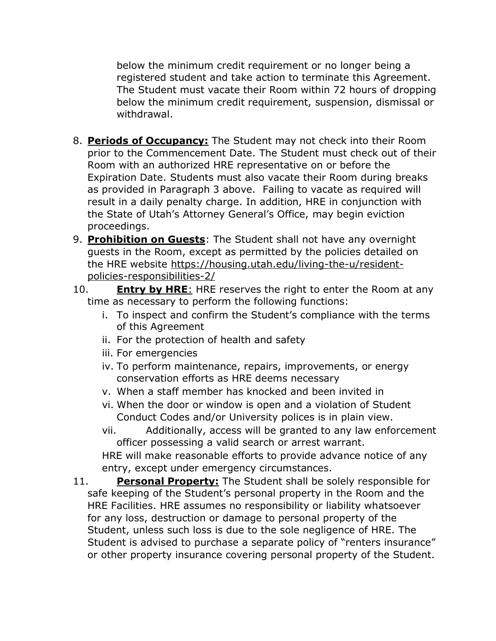below the minimum credit requirement or no longer being a registered student and take action to terminate this Agreement. The Student must vacate their Room within 72 hours of dropping below the minimum credit requirement, suspension, dismissal or withdrawal.

- 8. **Periods of Occupancy:** The Student may not check into their Room prior to the Commencement Date. The Student must check out of their Room with an authorized HRE representative on or before the Expiration Date. Students must also vacate their Room during breaks as provided in Paragraph 3 above. Failing to vacate as required will result in a daily penalty charge. In addition, HRE in conjunction with the State of Utah's Attorney General's Office, may begin eviction proceedings.
- 9. **Prohibition on Guests**: The Student shall not have any overnight guests in the Room, except as permitted by the policies detailed on the HRE website [https://housing.utah.edu/living-the-u/resident](https://housing.utah.edu/living-the-u/resident-policies-responsibilities-2/)[policies-responsibilities-2/](https://housing.utah.edu/living-the-u/resident-policies-responsibilities-2/)
- 10. **Entry by HRE**: HRE reserves the right to enter the Room at any time as necessary to perform the following functions:
	- i. To inspect and confirm the Student's compliance with the terms of this Agreement
	- ii. For the protection of health and safety
	- iii. For emergencies
	- iv. To perform maintenance, repairs, improvements, or energy conservation efforts as HRE deems necessary
	- v. When a staff member has knocked and been invited in
	- vi. When the door or window is open and a violation of Student Conduct Codes and/or University polices is in plain view.
	- vii. Additionally, access will be granted to any law enforcement officer possessing a valid search or arrest warrant.

HRE will make reasonable efforts to provide advance notice of any entry, except under emergency circumstances.

11. **Personal Property:** The Student shall be solely responsible for safe keeping of the Student's personal property in the Room and the HRE Facilities. HRE assumes no responsibility or liability whatsoever for any loss, destruction or damage to personal property of the Student, unless such loss is due to the sole negligence of HRE. The Student is advised to purchase a separate policy of "renters insurance" or other property insurance covering personal property of the Student.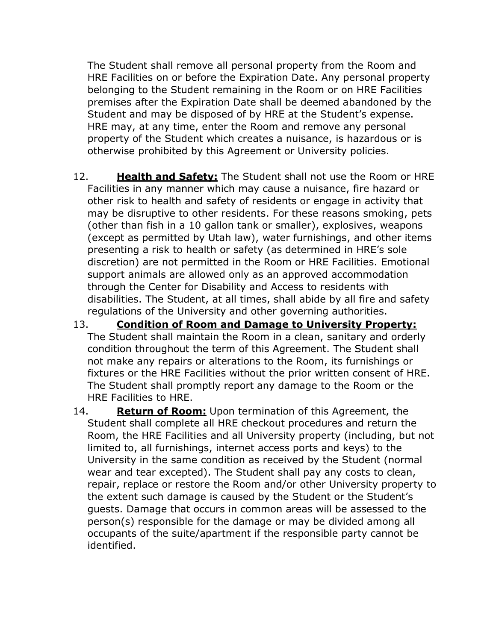The Student shall remove all personal property from the Room and HRE Facilities on or before the Expiration Date. Any personal property belonging to the Student remaining in the Room or on HRE Facilities premises after the Expiration Date shall be deemed abandoned by the Student and may be disposed of by HRE at the Student's expense. HRE may, at any time, enter the Room and remove any personal property of the Student which creates a nuisance, is hazardous or is otherwise prohibited by this Agreement or University policies.

- 12. **Health and Safety:** The Student shall not use the Room or HRE Facilities in any manner which may cause a nuisance, fire hazard or other risk to health and safety of residents or engage in activity that may be disruptive to other residents. For these reasons smoking, pets (other than fish in a 10 gallon tank or smaller), explosives, weapons (except as permitted by Utah law), water furnishings, and other items presenting a risk to health or safety (as determined in HRE's sole discretion) are not permitted in the Room or HRE Facilities. Emotional support animals are allowed only as an approved accommodation through the Center for Disability and Access to residents with disabilities. The Student, at all times, shall abide by all fire and safety regulations of the University and other governing authorities.
- 13. **Condition of Room and Damage to University Property:** The Student shall maintain the Room in a clean, sanitary and orderly condition throughout the term of this Agreement. The Student shall not make any repairs or alterations to the Room, its furnishings or fixtures or the HRE Facilities without the prior written consent of HRE. The Student shall promptly report any damage to the Room or the HRE Facilities to HRE.
- 14. **Return of Room:** Upon termination of this Agreement, the Student shall complete all HRE checkout procedures and return the Room, the HRE Facilities and all University property (including, but not limited to, all furnishings, internet access ports and keys) to the University in the same condition as received by the Student (normal wear and tear excepted). The Student shall pay any costs to clean, repair, replace or restore the Room and/or other University property to the extent such damage is caused by the Student or the Student's guests. Damage that occurs in common areas will be assessed to the person(s) responsible for the damage or may be divided among all occupants of the suite/apartment if the responsible party cannot be identified.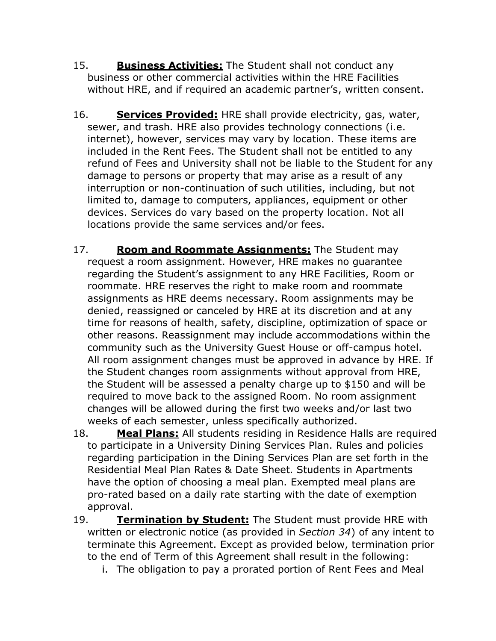- 15. **Business Activities:** The Student shall not conduct any business or other commercial activities within the HRE Facilities without HRE, and if required an academic partner's, written consent.
- 16. **Services Provided:** HRE shall provide electricity, gas, water, sewer, and trash. HRE also provides technology connections (i.e. internet), however, services may vary by location. These items are included in the Rent Fees. The Student shall not be entitled to any refund of Fees and University shall not be liable to the Student for any damage to persons or property that may arise as a result of any interruption or non-continuation of such utilities, including, but not limited to, damage to computers, appliances, equipment or other devices. Services do vary based on the property location. Not all locations provide the same services and/or fees.
- 17. **Room and Roommate Assignments:** The Student may request a room assignment. However, HRE makes no guarantee regarding the Student's assignment to any HRE Facilities, Room or roommate. HRE reserves the right to make room and roommate assignments as HRE deems necessary. Room assignments may be denied, reassigned or canceled by HRE at its discretion and at any time for reasons of health, safety, discipline, optimization of space or other reasons. Reassignment may include accommodations within the community such as the University Guest House or off-campus hotel. All room assignment changes must be approved in advance by HRE. If the Student changes room assignments without approval from HRE, the Student will be assessed a penalty charge up to \$150 and will be required to move back to the assigned Room. No room assignment changes will be allowed during the first two weeks and/or last two weeks of each semester, unless specifically authorized.
- 18. **Meal Plans:** All students residing in Residence Halls are required to participate in a University Dining Services Plan. Rules and policies regarding participation in the Dining Services Plan are set forth in the Residential Meal Plan Rates & Date Sheet. Students in Apartments have the option of choosing a meal plan. Exempted meal plans are pro-rated based on a daily rate starting with the date of exemption approval.
- 19. **Termination by Student:** The Student must provide HRE with written or electronic notice (as provided in *Section 34*) of any intent to terminate this Agreement. Except as provided below, termination prior to the end of Term of this Agreement shall result in the following:
	- i. The obligation to pay a prorated portion of Rent Fees and Meal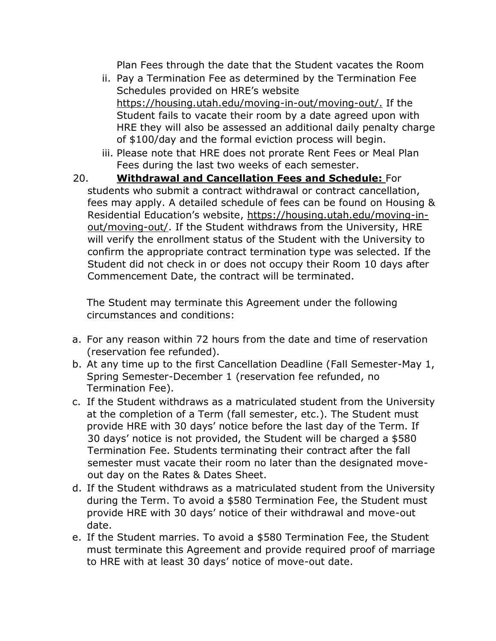Plan Fees through the date that the Student vacates the Room

- ii. Pay a Termination Fee as determined by the Termination Fee Schedules provided on HRE's website [https://housing.utah.edu/moving-in-out/moving-out/.](https://housing.utah.edu/moving-in-out/moving-out/) If the Student fails to vacate their room by a date agreed upon with HRE they will also be assessed an additional daily penalty charge of \$100/day and the formal eviction process will begin.
- iii. Please note that HRE does not prorate Rent Fees or Meal Plan Fees during the last two weeks of each semester.
- 20. **Withdrawal and Cancellation Fees and Schedule:** For students who submit a contract withdrawal or contract cancellation, fees may apply. A detailed schedule of fees can be found on Housing & Residential Education's website, [https://housing.utah.edu/moving-in](https://housing.utah.edu/moving-in-out/moving-out/)[out/moving-out/.](https://housing.utah.edu/moving-in-out/moving-out/) If the Student withdraws from the University, HRE will verify the enrollment status of the Student with the University to confirm the appropriate contract termination type was selected. If the Student did not check in or does not occupy their Room 10 days after Commencement Date, the contract will be terminated.

The Student may terminate this Agreement under the following circumstances and conditions:

- a. For any reason within 72 hours from the date and time of reservation (reservation fee refunded).
- b. At any time up to the first Cancellation Deadline (Fall Semester-May 1, Spring Semester-December 1 (reservation fee refunded, no Termination Fee).
- c. If the Student withdraws as a matriculated student from the University at the completion of a Term (fall semester, etc.). The Student must provide HRE with 30 days' notice before the last day of the Term. If 30 days' notice is not provided, the Student will be charged a \$580 Termination Fee. Students terminating their contract after the fall semester must vacate their room no later than the designated moveout day on the Rates & Dates Sheet.
- d. If the Student withdraws as a matriculated student from the University during the Term. To avoid a \$580 Termination Fee, the Student must provide HRE with 30 days' notice of their withdrawal and move-out date.
- e. If the Student marries. To avoid a \$580 Termination Fee, the Student must terminate this Agreement and provide required proof of marriage to HRE with at least 30 days' notice of move-out date.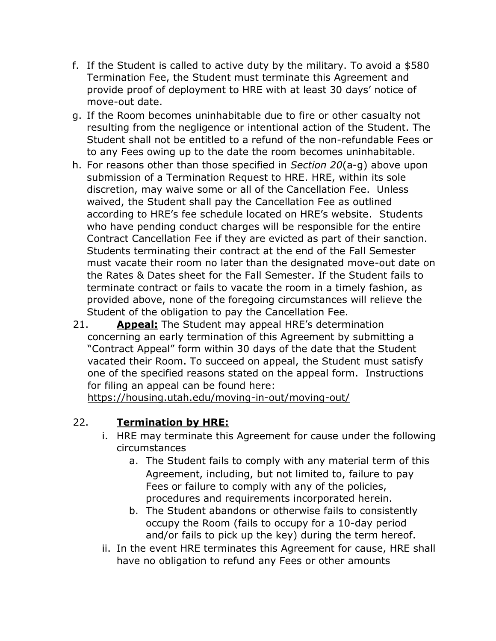- f. If the Student is called to active duty by the military. To avoid a \$580 Termination Fee, the Student must terminate this Agreement and provide proof of deployment to HRE with at least 30 days' notice of move-out date.
- g. If the Room becomes uninhabitable due to fire or other casualty not resulting from the negligence or intentional action of the Student. The Student shall not be entitled to a refund of the non-refundable Fees or to any Fees owing up to the date the room becomes uninhabitable.
- h. For reasons other than those specified in *Section 20*(a-g) above upon submission of a Termination Request to HRE. HRE, within its sole discretion, may waive some or all of the Cancellation Fee. Unless waived, the Student shall pay the Cancellation Fee as outlined according to HRE's fee schedule located on HRE's website. Students who have pending conduct charges will be responsible for the entire Contract Cancellation Fee if they are evicted as part of their sanction. Students terminating their contract at the end of the Fall Semester must vacate their room no later than the designated move-out date on the Rates & Dates sheet for the Fall Semester. If the Student fails to terminate contract or fails to vacate the room in a timely fashion, as provided above, none of the foregoing circumstances will relieve the Student of the obligation to pay the Cancellation Fee.
- 21. **Appeal:** The Student may appeal HRE's determination concerning an early termination of this Agreement by submitting a "Contract Appeal" form within 30 days of the date that the Student vacated their Room. To succeed on appeal, the Student must satisfy one of the specified reasons stated on the appeal form. Instructions for filing an appeal can be found here:

<https://housing.utah.edu/moving-in-out/moving-out/>

## 22. **Termination by HRE:**

- i. HRE may terminate this Agreement for cause under the following circumstances
	- a. The Student fails to comply with any material term of this Agreement, including, but not limited to, failure to pay Fees or failure to comply with any of the policies, procedures and requirements incorporated herein.
	- b. The Student abandons or otherwise fails to consistently occupy the Room (fails to occupy for a 10-day period and/or fails to pick up the key) during the term hereof.
- ii. In the event HRE terminates this Agreement for cause, HRE shall have no obligation to refund any Fees or other amounts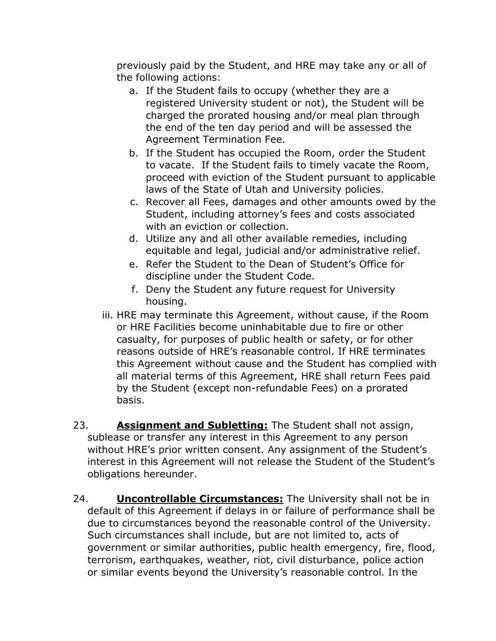previously paid by the Student, and HRE may take any or all of the following actions:

- a. If the Student fails to occupy (whether they are a registered University student or not), the Student will be charged the prorated housing and/or meal plan through the end of the ten day period and will be assessed the Agreement Termination Fee.
- b. If the Student has occupied the Room, order the Student to vacate. If the Student fails to timely vacate the Room, proceed with eviction of the Student pursuant to applicable laws of the State of Utah and University policies.
- c. Recover all Fees, damages and other amounts owed by the Student, including attorney's fees and costs associated with an eviction or collection.
- d. Utilize any and all other available remedies, including equitable and legal, judicial and/or administrative relief.
- e. Refer the Student to the Dean of Student's Office for discipline under the Student Code.
- f. Deny the Student any future request for University housing.
- iii. HRE may terminate this Agreement, without cause, if the Room or HRE Facilities become uninhabitable due to fire or other casualty, for purposes of public health or safety, or for other reasons outside of HRE's reasonable control. If HRE terminates this Agreement without cause and the Student has complied with all material terms of this Agreement, HRE shall return Fees paid by the Student (except non-refundable Fees) on a prorated basis.
- 23. **Assignment and Subletting:** The Student shall not assign, sublease or transfer any interest in this Agreement to any person without HRE's prior written consent. Any assignment of the Student's interest in this Agreement will not release the Student of the Student's obligations hereunder.
- 24. **Uncontrollable Circumstances:** The University shall not be in default of this Agreement if delays in or failure of performance shall be due to circumstances beyond the reasonable control of the University. Such circumstances shall include, but are not limited to, acts of government or similar authorities, public health emergency, fire, flood, terrorism, earthquakes, weather, riot, civil disturbance, police action or similar events beyond the University's reasonable control. In the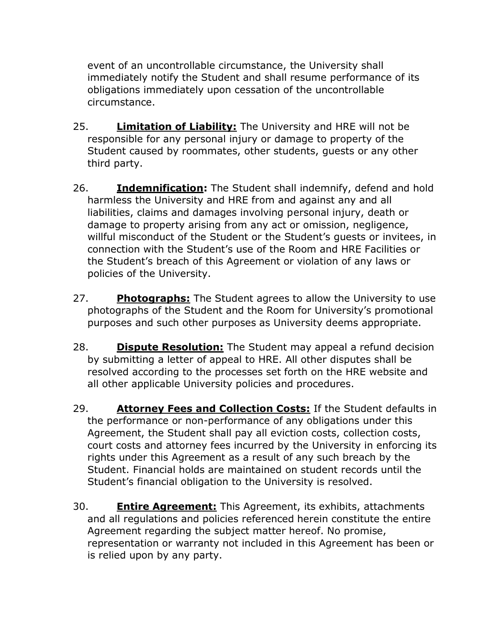event of an uncontrollable circumstance, the University shall immediately notify the Student and shall resume performance of its obligations immediately upon cessation of the uncontrollable circumstance.

- 25. **Limitation of Liability:** The University and HRE will not be responsible for any personal injury or damage to property of the Student caused by roommates, other students, guests or any other third party.
- 26. **Indemnification:** The Student shall indemnify, defend and hold harmless the University and HRE from and against any and all liabilities, claims and damages involving personal injury, death or damage to property arising from any act or omission, negligence, willful misconduct of the Student or the Student's guests or invitees, in connection with the Student's use of the Room and HRE Facilities or the Student's breach of this Agreement or violation of any laws or policies of the University.
- 27. **Photographs:** The Student agrees to allow the University to use photographs of the Student and the Room for University's promotional purposes and such other purposes as University deems appropriate.
- 28. **Dispute Resolution:** The Student may appeal a refund decision by submitting a letter of appeal to HRE. All other disputes shall be resolved according to the processes set forth on the HRE website and all other applicable University policies and procedures.
- 29. **Attorney Fees and Collection Costs:** If the Student defaults in the performance or non-performance of any obligations under this Agreement, the Student shall pay all eviction costs, collection costs, court costs and attorney fees incurred by the University in enforcing its rights under this Agreement as a result of any such breach by the Student. Financial holds are maintained on student records until the Student's financial obligation to the University is resolved.
- 30. **Entire Agreement:** This Agreement, its exhibits, attachments and all regulations and policies referenced herein constitute the entire Agreement regarding the subject matter hereof. No promise, representation or warranty not included in this Agreement has been or is relied upon by any party.